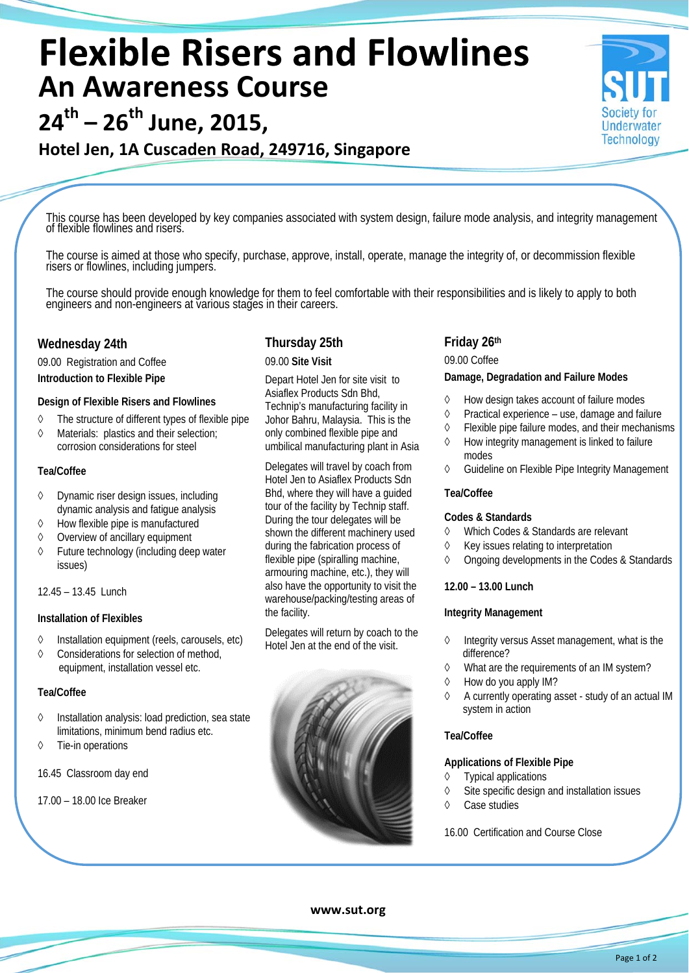# **Flexible Risers and Flowlines An Awareness Course**

**24th – 26th June, 2015,** 

# **Hotel Jen, 1A Cuscaden Road, 249716, Singapore**

This course has been developed by key companies associated with system design, failure mode analysis, and integrity management

The course is aimed at those who specify, purchase, approve, install, operate, manage the integrity of, or decommission flexible risers or flowlines, including jumpers.

The course should provide enough knowledge for them to feel comfortable with their responsibilities and is likely to apply to both engineers and non-engineers at various stages in their careers.

### **Wednesday 24th**

09.00 Registration and Coffee **Introduction to Flexible Pipe**

#### **Design of Flexible Risers and Flowlines**

- The structure of different types of flexible pipe
- Materials: plastics and their selection; corrosion considerations for steel

#### **Tea/Coffee**

- Dynamic riser design issues, including dynamic analysis and fatigue analysis
- $\Diamond$  How flexible pipe is manufactured
- $\diamond$  Overview of ancillary equipment
- Future technology (including deep water issues)

#### 12.45 – 13.45 Lunch

#### **Installation of Flexibles**

- $\Diamond$  Installation equipment (reels, carousels, etc)
- Considerations for selection of method, equipment, installation vessel etc.

#### **Tea/Coffee**

- $\Diamond$  Installation analysis: load prediction, sea state limitations, minimum bend radius etc.
- Tie-in operations

16.45 Classroom day end

#### 17.00 – 18.00 Ice Breaker

# **Thursday 25th**

#### 09.00 **Site Visit**

Depart Hotel Jen for site visit to Asiaflex Products Sdn Bhd, Technip's manufacturing facility in Johor Bahru, Malaysia. This is the only combined flexible pipe and umbilical manufacturing plant in Asia

Delegates will travel by coach from Hotel Jen to Asiaflex Products Sdn Bhd, where they will have a guided tour of the facility by Technip staff. During the tour delegates will be shown the different machinery used during the fabrication process of flexible pipe (spiralling machine, armouring machine, etc.), they will also have the opportunity to visit the warehouse/packing/testing areas of the facility.

Delegates will return by coach to the Hotel Jen at the end of the visit.



## **Friday 26th**

09.00 Coffee

#### **Damage, Degradation and Failure Modes**

- How design takes account of failure modes
- $\Diamond$  Practical experience use, damage and failure
- $\Diamond$  Flexible pipe failure modes, and their mechanisms

**Underwater Technology** 

- $\Diamond$  How integrity management is linked to failure modes
- Guideline on Flexible Pipe Integrity Management

#### **Tea/Coffee**

#### **Codes & Standards**

- Which Codes & Standards are relevant
	- $\Diamond$  Key issues relating to interpretation
	- Ongoing developments in the Codes & Standards

#### **12.00 – 13.00 Lunch**

#### **Integrity Management**

- $\Diamond$  Integrity versus Asset management, what is the difference?
- What are the requirements of an IM system?
- $\Diamond$  How do you apply IM?
- $\Diamond$  A currently operating asset study of an actual IM system in action

#### **Tea/Coffee**

# **Applications of Flexible Pipe**

- $\circ$  Typical applications
- $\Diamond$  Site specific design and installation issues
- Case studies

16.00 Certification and Course Close

**www.sut.org**